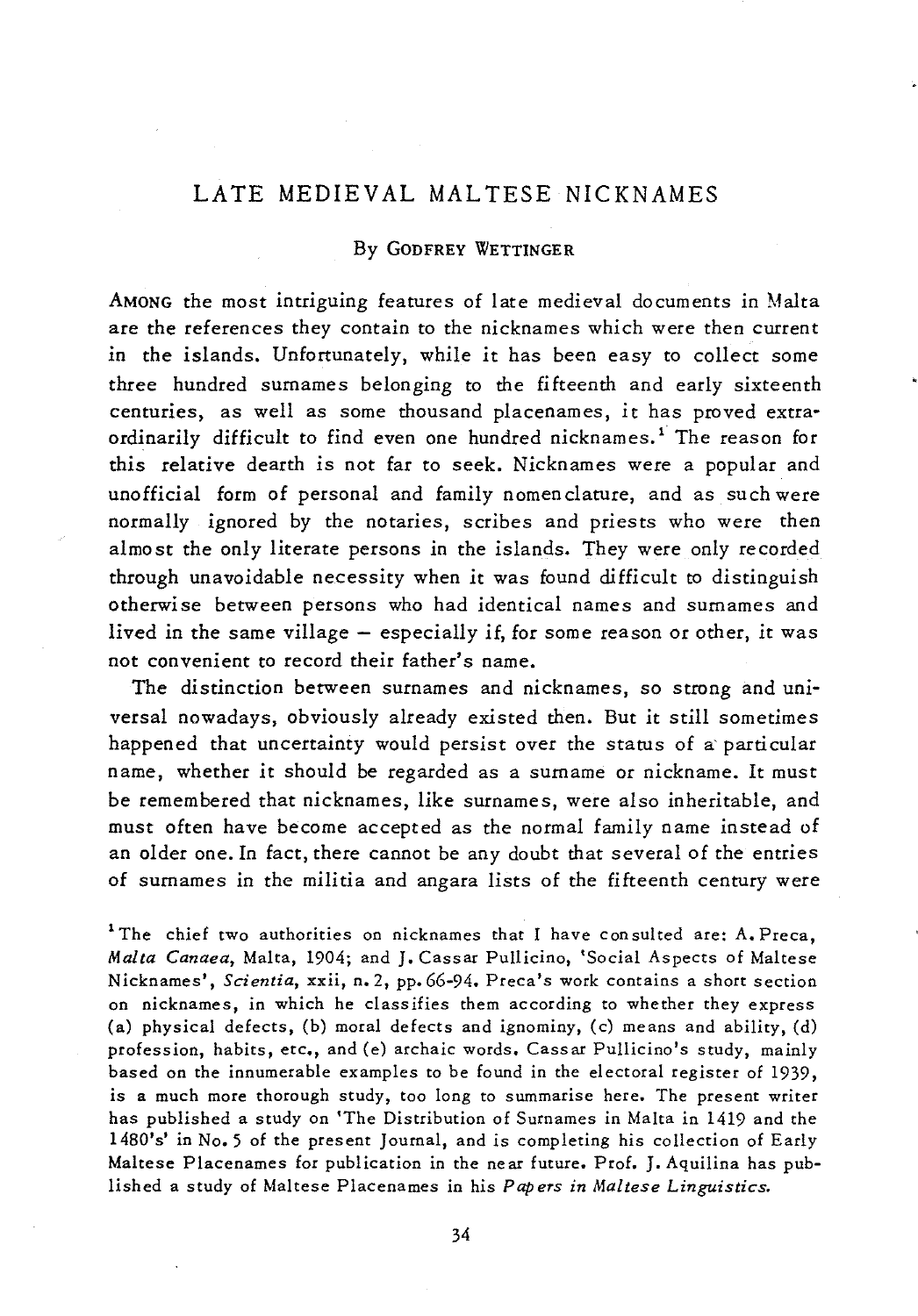## LATE MEDIEVAL MAL TESE NICKNAMES

## By GoDFREY WETTINGER

AMONG the most intriguing features of late medieval documents in Malta are the references they contain to the nicknames which were then current in the islands. Unfortunately, while *it* has been easy to collect some three hundred surnames belonging to the fifteenth and early sixteenth centuries, as well as some thousand placenames, *it* has proved extraordinarily difficult to find even one hundred nicknames.<sup>1</sup> The reason for *this* relative dearth is not far to seek. Nicknames were a popular and unofficial form of personal and family nomenclature, and as such were normally ignored by the notaries, scribes and priests who were then almost the only literate persons in the islands. They were only recorded through unavoidable necessity when it was found difficult to distinguish otherwise between persons who had identical names and surnames and lived in the same village  $-$  especially if, for some reason or other, it was not convenient to record their father's name.

The distinction between surnames and nicknames, so strong and universal nowadays, obviously already existed then. But it still sometimes happened that uncertainty would persist over the status of a' particular name, whether *it* should be regarded as a surname or nickname. It must be remembered that nicknames, like surnames, were also inheritable, and must often have become accepted as the normal family name instead of an older one. In fact, there cannot be any doubt that several of the entries of surnames in the militia and angara lists of the fifteenth century were

<sup>1</sup>The chief two authorities on nicknames that I have consulted are: A. Preca, *Malta Canaea,* Malta, 1904; and J. Cassar Pullicino, 'Social Aspects of Maltese Nicknames', *Scientia,* xxii, n. 2, pp. 66-94. Preca's work contains a short section on nicknames, in which he classifies them according to whether they express (a) physical defects, (b) moral defects and ignominy, (c) means and ability, (d) profession, habits, etc., and (e) archaic words. Cassar Pullicino's study, mainly based on the innumerable examples to be found in the electoral register of 1939, is a much more thorough study, too long to summarise here. The present writer has published a study on 'The Distribution of Surnames in Malta in 1419 and the 1480's' in No. 5 of the present Journal, and is completing his collection of Early Maltese Placenames for publication in the near future. Prof. J. Aquilina has published a study of Maltese Placenames in his *Papers in Maltese Linguistics.*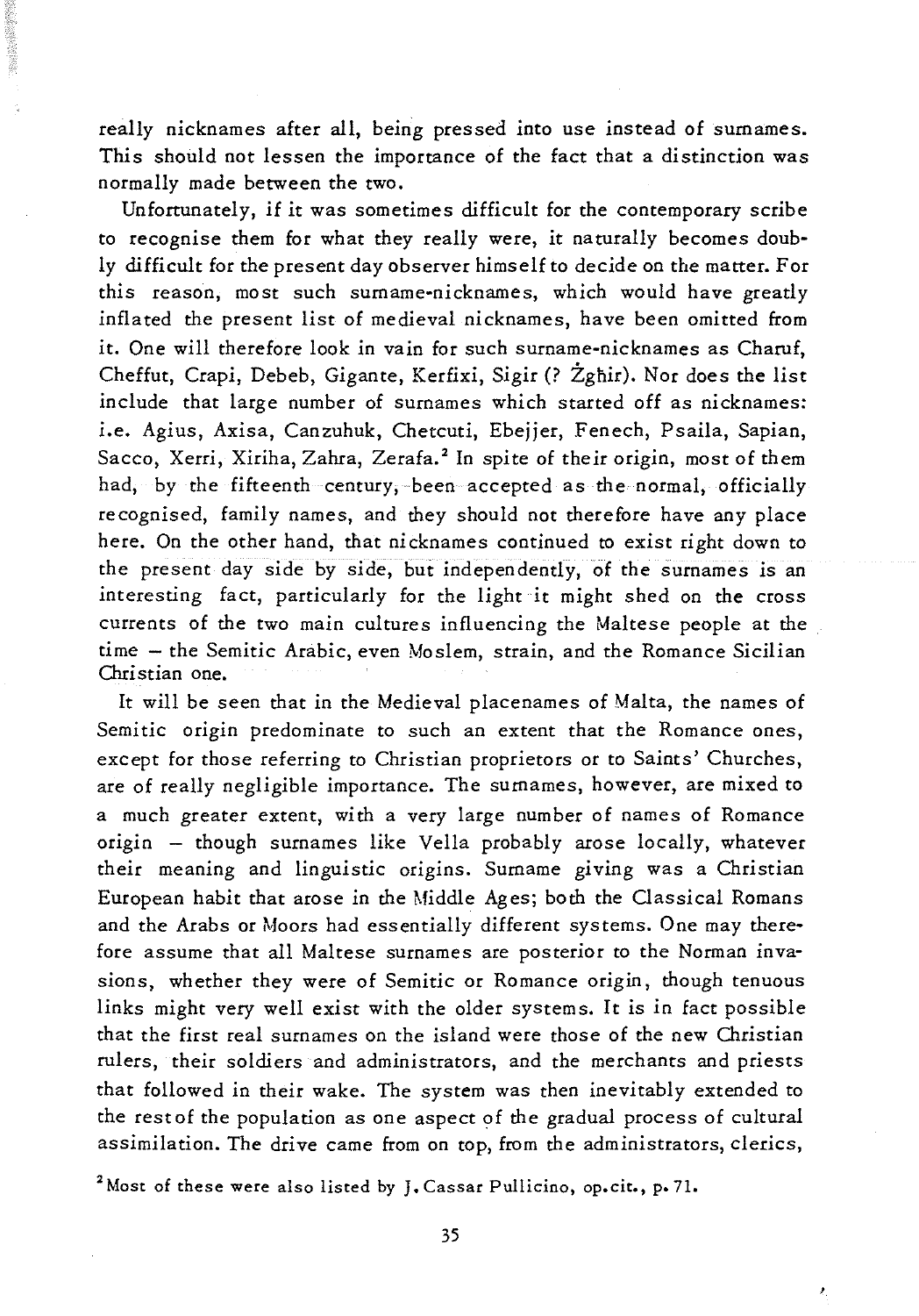really nicknames after all, being pressed into use instead of surnames. This should not lessen the importance of the fact that a distinction was normally made between the two.

Unfortunately, if it was sometimes difficult for the contemporary scribe to recognise them for what they really were, it naturally becomes doubly difficult for the present day observer himself to decide on the matter. For this reason, most such surname-nicknames, which would have greatly inflated the present list of medieval nicknames, have been omitted from it. One will therefore look in vain for such surname-nicknames as Charuf, Cheffut, Crapi, Debeb, Gigante, Kerfixi, Sigir (? Żgħir). Nor does the list include that large number of surnames which started off as nicknames: i.e. Agius, Axisa, Canzuhuk, Chetcuti, Ebejjer, Fenech, Psaila, Sapian, Sacco, Xerri, Xiriha, Zahra, Zerafa.<sup>2</sup> In spite of their origin, most of them had, by the fifteenth century, been accepted as the normal, officially recognised, family names, and they should not therefore have any place here. On the other hand, that nicknames continued to exist right down to the present day side by side, but independently, of the surnames is an interesting fact, particularly for the light it might shed on the cross currents of the two main cultures influencing the Maltese people at the time - the Semitic Arabic, even Moslem, strain, and the Romance Sicilian Christian one.

It will be seen that in the Medieval placenames of Malta, the names of Semitic origin predominate to such an extent that the Romance ones, except for those referring to Christian proprietors or to Saints' Churches, are of really negligible importance. The surnames, however, are mixed to a much greater extent, with a very large number of names of Romance origin - though surnames like Vella probably arose locally, whatever their meaning and linguistic origins. Surname giving was a Christian European habit that arose in the Middle Ages; both the Classical Romans and the Arabs or Moors had essentially different systems. One may therefore assume that all Maltese surnames are posterior to the Norman invasions, whether they were of Semitic or Romance origin, though tenuous links might very well exist with the older systems. It is in fact possible that the first real surnames on the island were those of the new Christian rulers, their soldiers and administrators, and the merchants and priests that followed in their wake. The system was then inevitably extended to the restof the population as one aspect of the gradual process of cultural assimilation. The drive came from on top, from the administrators, clerics,

<sup>2</sup> Most of these were also listed by J. Cassar Pullicino, op.cit., p. 71.

ź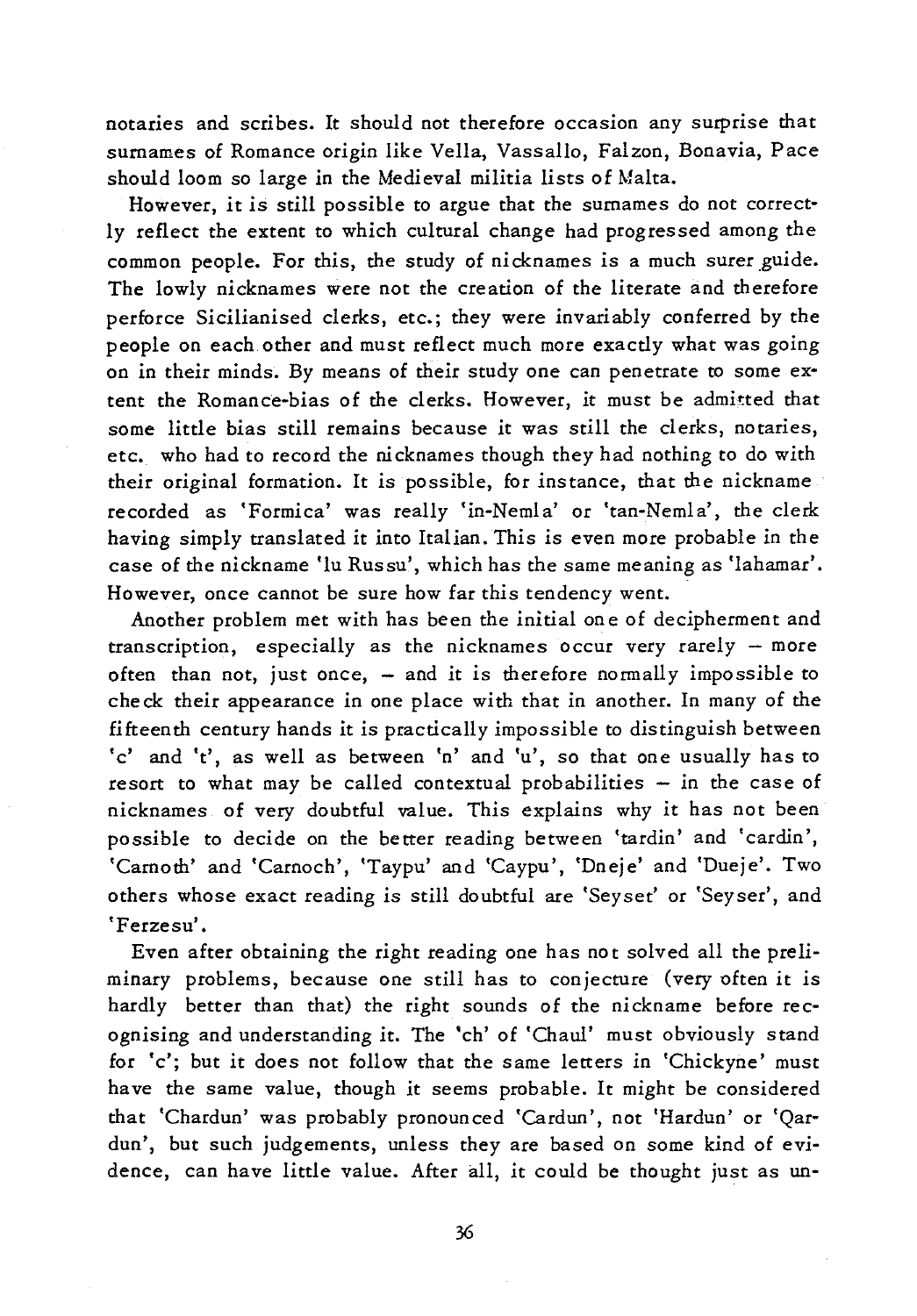notaries and scribes. It should not therefore occasion any surprise that surnames of Romance origin like Vella, Vassallo, Falzon, Bonavia, Pace should loom so large in the Medieval militia lists of Malta.

However, it is still possible to argue that the surnames do not correctly reflect the extent to which cultural change had progressed among the common people. For this, the study of nicknames is a much surer guide. The lowly nicknames were not the creation of the literate and therefore perforce Sicilianised clerks, etc.; they were invariably conferred by the people on each other and must reflect much more exactly what was going on in their minds. By means of their study one can penetrate to some extent the Romance-bias of the clerks. However, it must be admitted that some little bias still remains because it was still the clerks, notaries, etc. who had to record the nicknames though they had nothing to do with their original formation. It is possible, for instance, that the nickname recorded as 'Formica' was really 'in-Nemla' or 'tan-Nemla', the clerk having simply translated it into Italian. This is even more probable in the case of the nickname 'lu Russu', which has the same meaning as 'lahamar'. However, once cannot be sure how far this tendency went.

Another problem met with has been the initial on e of decipherment and transcription, especially as the nicknames occur very rarely - more often than not, just once,  $-$  and it is therefore normally impossible to check their appearance in one place with that in another. In many of the fifteenth century hands it is practically impossible to distinguish between 'c' and 't', as well as between 'n' and 'u', so that one usually has to resort to what may be called contextual probabilities - in the case of nicknames of very doubtful value. This explains why it has not been possible to decide on the better reading between 'tardin' and 'cardin', 'Carnoth' and 'Carnoch', 'Taypu' and 'Caypu', 'Dneje' and 'Dueje'. Two others whose exact reading is still doubtful are 'Seyset' or 'Seyser', and 'Ferzesu'.

Even after obtaining the right reading one has not solved all the preliminary problems, because one still has to conjecture (very often it is hardly better than that) the right sounds of the nickname before recognising and understanding it. The 'ch' of 'Chaul' must obviously stand for 'c'; but it does not follow that the same letters in 'Chickyne' must have the same value, though it seems probable. It might be considered that 'Chardun' was probably pronounced 'Cardun', not 'Hardun' or 'Qatdun', but such judgements, unless they are based on some kind of evidence, can have little value. After all, it could be thought just as un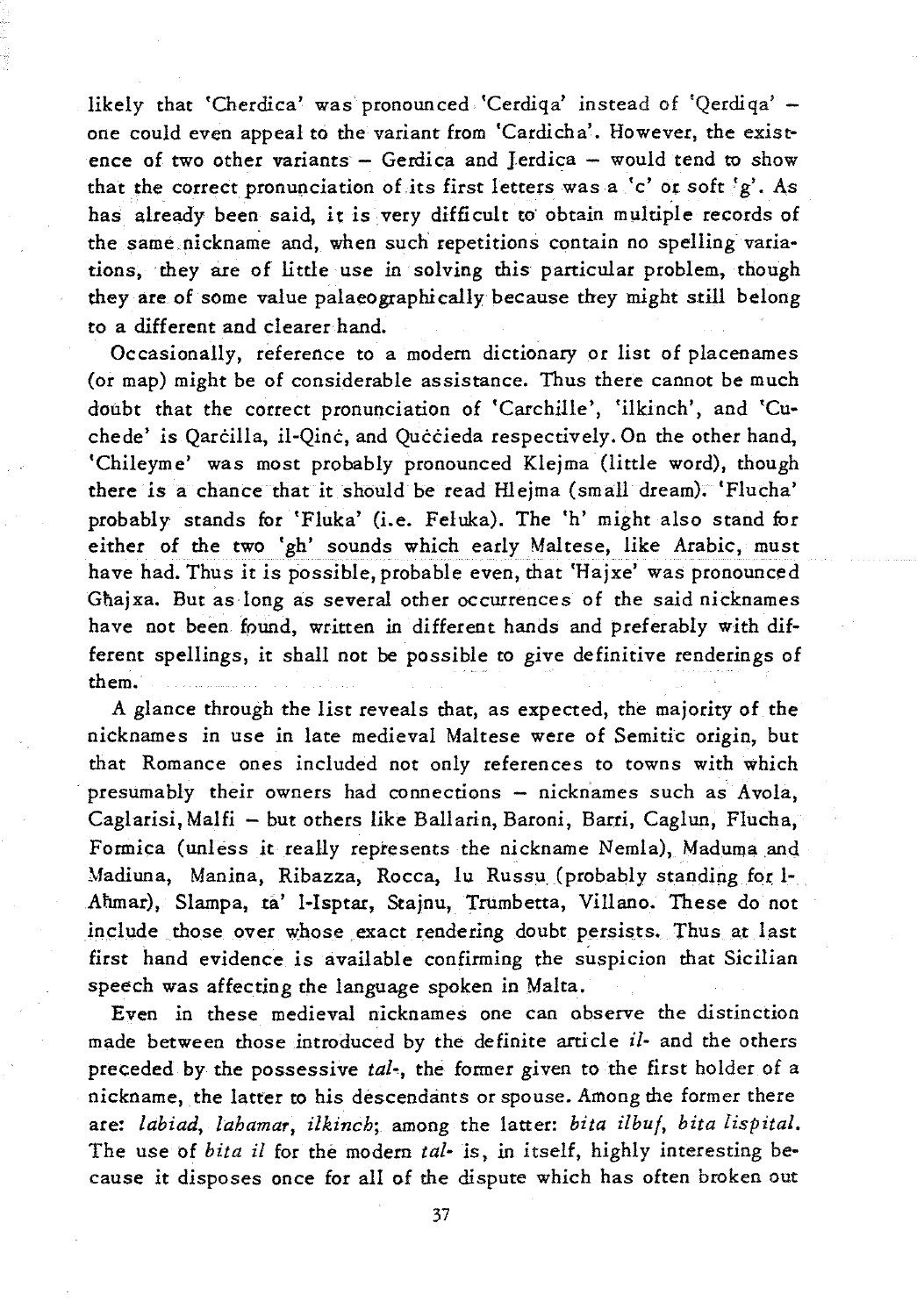likely that 'Cherdica' was pronounced 'Cerdiqa' instead of 'Qerdiqa' one could even appeal to the variant from ·Cardicha'. However, the existence of two other variants - Gerdica and Jerdica - would tend to show that the correct pronunciation of its first letters was a 'c' or soft  $g'$ . As has already been said, it is very difficult to obtain multiple records of the same. nickname and, when such repetitions contain no spelling variations, they are of little use in solving this particular problem, though they are of some value palaeographically because they might still belong to a different and clearer hand.

Occasionally, reference to a modem dictionary or list of placenames (or map) might be of considerable assistance. Thus there cannot be much doubt that the correct pronunciation of 'Carchille', 'ilkinch', and 'Cuchede' is Oarcilla, il-Oinc, and Ouccieda respectively. On the other hand, 'Chileyme' was most probably pronounced Klejma (little word), though there is a chance that *it* should be read Hlejma (small dream). 'Flucha' probably stands for 'Fluka' (i.e. Feluka). The 'h' might also stand for either of the two 'gh' sounds which early Maltese, like Arabic, must have had. Thus *it is* possible, probable even, that 'Hajxe' was pronounced Ghajxa. But as long as several other occurrences of the said nicknames have not been fpund, written in different hands and preferably with different spellings, *it* shall not be possible to give definitive renderings of them.

A glance through the list reveals that, as expected, the majority of the nicknames in use in late medieval Maltese were of Semitic origin, but that Romance ones included not only references to towns with which presumably their owners had connections - nicknames such as Avola, Caglarisi, Malfi - but others like Ballarin, Baroni, Barei, Caglun, Flucha, Formica (unless it really represents the nickname Nemla), Maduma and Madiuna, Manina, Ribazza, Rocca, lu Russu (probably standing for 1-Ahmar), Slampa, ta' l-Isptar, Stajnu, Trumbetta, Villano. These do not include those over whose exact rendering doubt persists. Thus at last first hand evidence is available confirming the suspicion that Sicilian speech was affecting the language spoken in Malta.

Even in these medieval nicknames one can observe the distinction made between those introduced by the definite article i/- and the others preceded by the possessive *tal*-, the former given to the first holder of a nickname, the latter to his descendants or spouse. Among the former there are: *labiad, lahamar, ilkinch;* among the latter: *bita ilbuf, bita lispital.*  The use of *bita il* for the modem *tal-* is, in itself, highly interesting because *it* disposes once for all of the dispute which has often broken out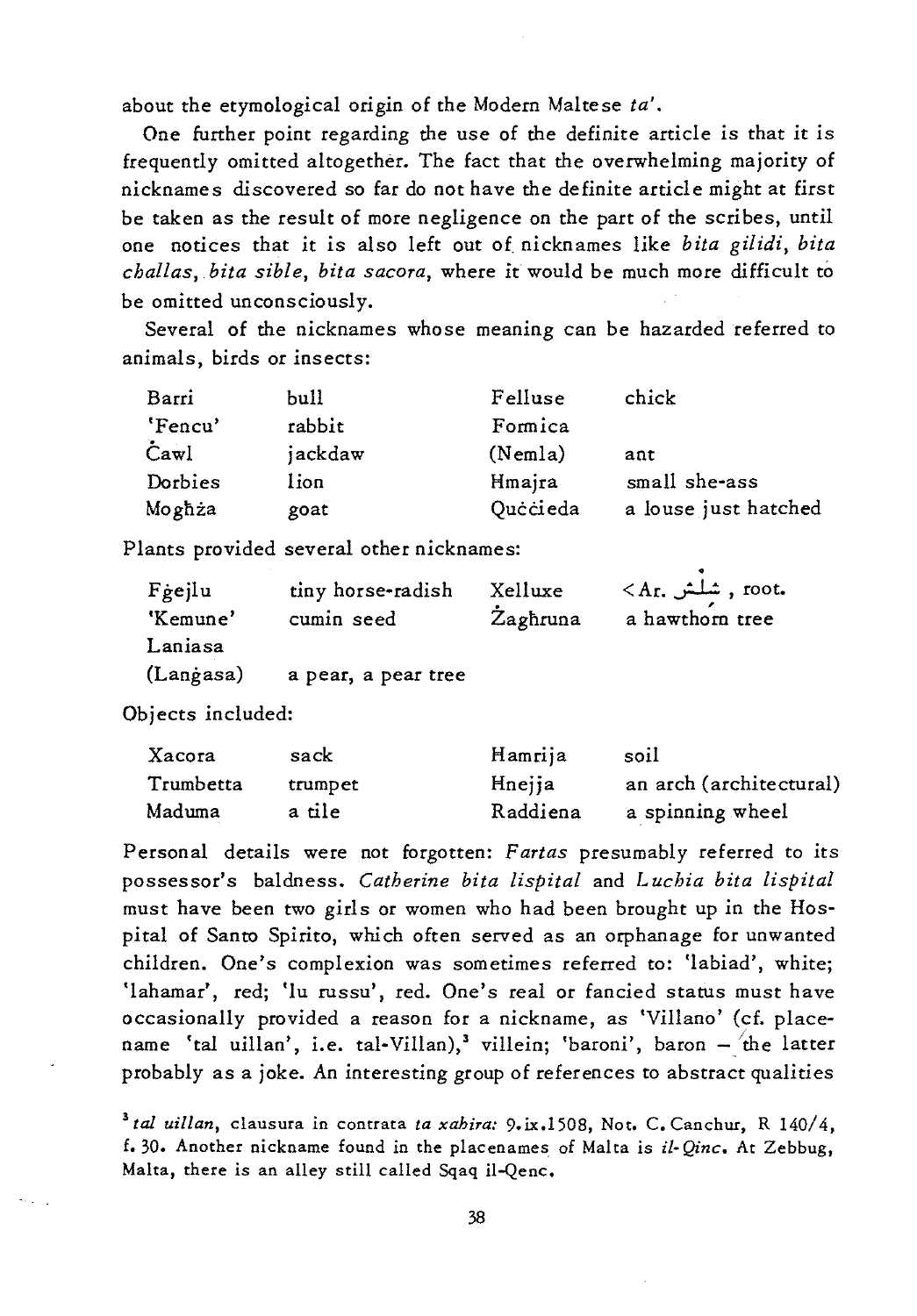about the etymological origin of the Modern Maltese *ta'.* 

One further point regarding the use of the definite article is that it is frequently omitted altogether. The fact that the overwhelming majority of nicknames discovered so far do not have the definite article might at first be taken as the result of more negligence on the part of the scribes, until one notices that it is also left out of. nicknames like *bita gilidi, bita challas, bita sible, bita sacora,* where it would be much more difficult to be omitted unconsciously.

Several of the nicknames whose meaning can be hazarded referred to animals, birds or insects:

| Barri   | bull    | Felluse  | chick                |
|---------|---------|----------|----------------------|
| 'Fencu' | rabbit  | Formica  |                      |
| Cawl    | jackdaw | (Nemla)  | ant                  |
| Dorbies | lion    | Hmaira   | small she-ass        |
| Moghża  | goat    | Quċċieda | a louse just hatched |

Plants provided several other nicknames:

| Fgejlu<br>'Kemune' | tiny horse-radish<br>cumin seed | Xelluxe<br>Zaghruna | $\langle A_{\rm r}, A_{\rm r}\rangle$ , root.<br>a hawthorn tree |
|--------------------|---------------------------------|---------------------|------------------------------------------------------------------|
| Laniasa            |                                 |                     |                                                                  |
| (Langasa)          | a pear, a pear tree             |                     |                                                                  |

Objects included:

| Xacora    | sack    | Hamrija  | soil                    |
|-----------|---------|----------|-------------------------|
| Trumbetta | trumpet | Hnejja   | an arch (architectural) |
| Maduma    | a tile  | Raddiena | a spinning wheel        |

Personal details were not forgotten: *F arias* presumably referred to *its*  possessor's baldness. *Catherine bita lispital* and *Luchia bita lispital*  must have been two girls or women who had been brought up in the Hospital of Santo Spirito, which often served as an orphanage for unwanted children. One's complexion was sometimes referred to: 'labiad', white; 'lahamar', red; 'lu russu', red. One's real or fancied status must have occasionally provided a reason for a nickname, as 'Villano' (cf. placename 'tal uillan', i.e. tal-Villan),<sup>3</sup> villein; 'baroni', baron - the latter probably as a joke. An interesting group of references to abstract qualities

<sup>3</sup>*tal uillan,* clausura in contrata *ta xahira:* 9. ix.1508, Not. C. Canchut, R 140/4, f.30. Another nickname found in the placenames of Malta is if- *Qinc.* At Zebbug, Malta, there is an alley still called Sqaq il-Qenc.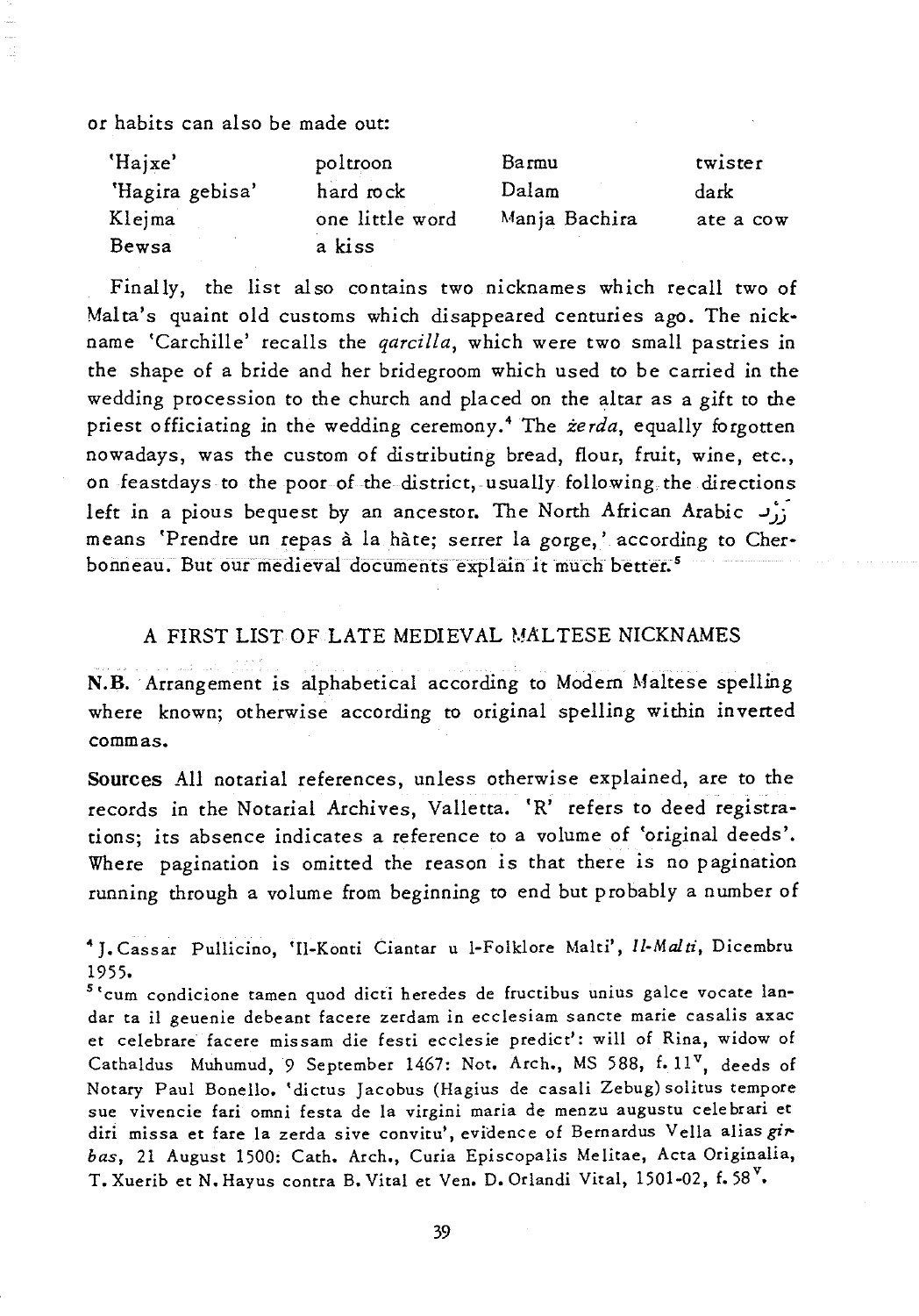or habits can also be made out:

| 'Hajxe'         | poltroon        | Barmu         | twister   |
|-----------------|-----------------|---------------|-----------|
| 'Hagira gebisa' | hard rock       | Dalam         | dark      |
| Klejma          | one little word | Manja Bachira | ate a cow |
| Bewsa           | a kiss          |               |           |

Finally, the list also contains two nicknames which recall two of Malta's quaint old customs which disappeared centuries ago. The nickname 'Carchille' recalls the *qarcilla,* which were two small pastries in the shape of a bride and her bridegroom which used to be carried in the wedding procession to the church and placed on the altar as a gift to the priest officiating in the wedding ceremony.<sup>4</sup> The *zerda*, equally forgotten nowadays, was the custom of distributing bread, flour, fruit, wine, etc., on feastdays to the poor of the district, usually following the directions left in a pious bequest by an ancestor. The North African Arabic  $J_{11}$ means 'Prendre un repas a la hate; serrer la gorge,' according to Cherbonneau. But our medieval documents explain it much better. 5

## A FIRST LIST OF LATE MEDIEVAL MALTESE NICKNAMES

**N.B.** Arrangement *is* alphabetical according to Modern Maltese spelling where known; otherwise according to original spelling within inverted commas.

**Sources** All notarial references, unless otherwise explained, are to the records in the Notarial Archives, Valletta. 'R' refers to deed registrations; its absence indicates a reference to a volume of 'original deeds'. Where pagination is omitted the reason *is* that there *is* no pagination running through a volume from beginning to end but probably a number of

<sup>4</sup> J. Cassar Pullicino, 'Il-Konti Ciantar u I-Folklore Malti', *Il·Mal ti,* Dicembru 1955.

<sup>5</sup> 'cum condicione tamen quod dicti heredes de fructibus unius galee vocate landar ta il geuenie debeant facere zerdam in ecclesiam sancte marie casalis axac et celebrare facere missam die festi ecclesie predict': will of Rina, widow of Cathaldus Muhumud, 9 September 1467: Not. Arch., MS 588, f. 11<sup>v</sup>, deeds of Notary Paul Bonello. 'dictus Jacobus (Hagius de casali Zebug) solitus tempore sue vivencie fari omni festa de la virgini maria de menzu augustu celebrari et diri missa et fare la zerda sive convitu', evidence of Bernardus Vella alias gir*has,* 21 August 1500: Cath. Arch., Curia Episcopalis Melitae, Acta Originalia, T. Xuerib et N. Hayus contra B. Vital et Ven. D. Orlandi Vital, 1501-02, f. 58<sup>V</sup>.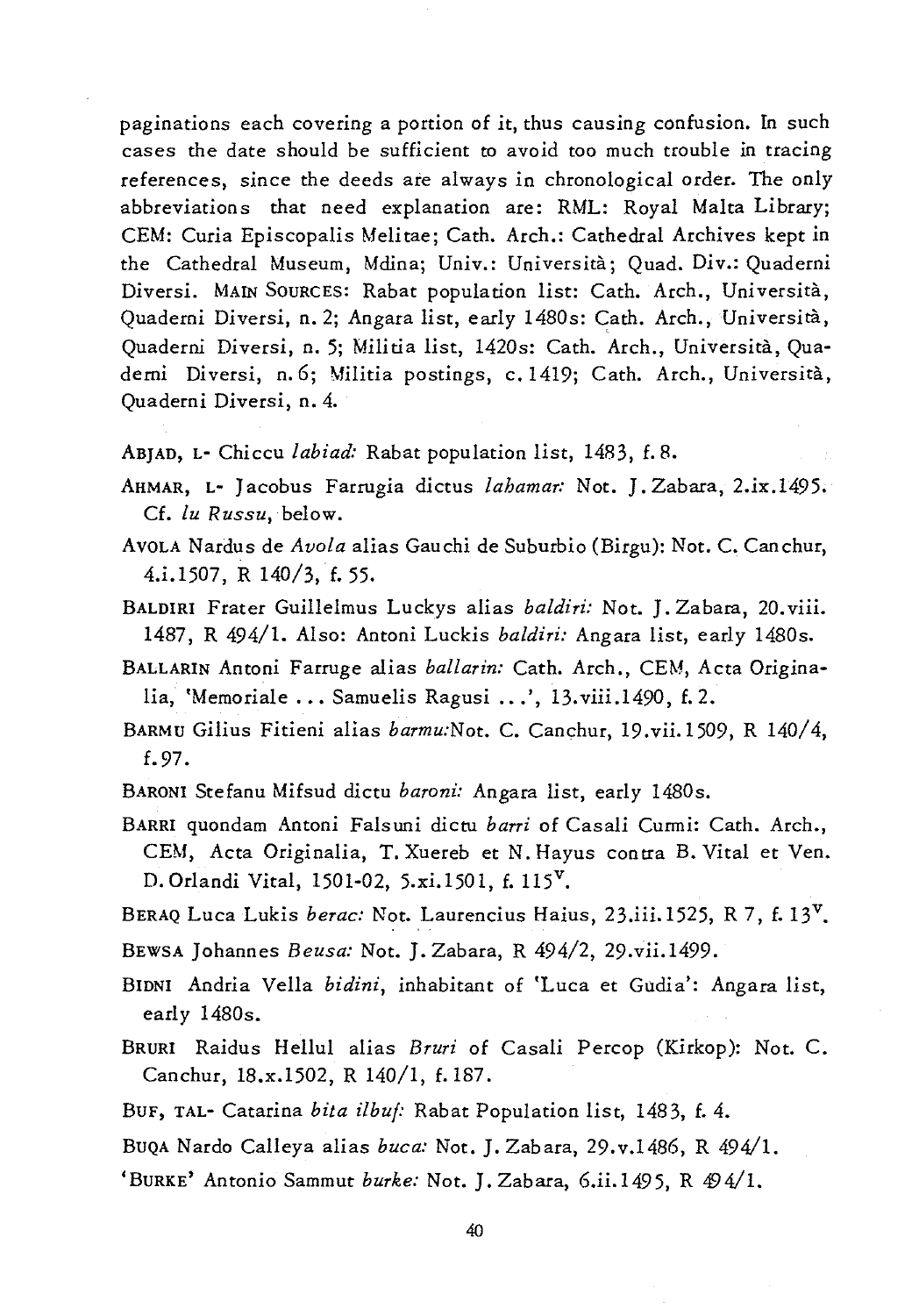paginations each covering a portion of *it,* thus causing confusion. In such cases the date should be sufficient to avoid too much trouble in tracing references, since the deeds are always in chronological order. The only abbreviations that need explanation are: RML: Royal Malta Library; CEM: Curia Episcopalis Melitae; Cath. Arch.: Cathedral Archives kept in the Cathedral Museum, Mdina; Univ.: Universita; Quad. Div.: Quaderni Diversi. MAIN SOURCES: Rabat population list: Cath. Arch., Universita, Quaderni Diversi, n. 2; Angara list, early 1480s: Cath. Arch., Università, Quaderni Diversi, n. 5; Militia list, 14205: Cath. Arch., Universita, Quaderni Diversi, n.6; Militia postings, c.1419; Cath. Arch., Universita, Quaderni Diversi, n. 4.

- ABJAD, L- Chiccu *labiad:* Rabat population list, 1483, f.8.
- AHMAR, L- J acobus Farrugia dictus *lahamar:* Not. J. Zabara, 2.ix.1495. Cf. *lu Russu,* below.
- AVOLA Nardus de *Avola* alias Gauchi de Suburbio (Birgu): Not. C. Canchur, 4.i.1507, R 140/3, f. 55.
- BALDIRI Frater Guillelmus Luckys alias *baldiri:* Not. J. Zabara, 20. viii. 1487, R 494/1. Also: Antoni Luckis *baldiri:* Angara list, early 14805.
- BALLARIN Antoni Farruge alias *ballarin:* Cath. Arch., CEM, Acta Originalia, 'Memoriale ... Samuelis Ragusi ...', 13.viii.1490, f. 2.
- BARMU Gilius Fitieni alias *barmu:Not.* C. Canchur, 19.vii.1509, R 140/4, f.97.
- BARONI Stefanu Mifsud dictu *baroni:* Angara list, early 14805.
- BARRI quondam Antoni Falsuni dicm *barri* of Casali Curmi: Cath. Arch., CEM, Acta Originalia, T. Xuereb et N. Hayus contra B. Vital et Ven. D. Orlandi Vital, 1501-02, 5.xi.1501, f. 115<sup>V</sup>.
- BERAQ Luca Lukis *berac: Not. Laurencius Haius*, 23.iii.1525, R 7, f. 13<sup>V</sup>.
- BEWSA Johannes *Beusa:* Not. J. Zabara, R 494/2, 29.vii.1499.
- BIDNI Andria Vella *bidini*, inhabitant of 'Luca et Gudia': Angara list, early 1480s.
- BRURI Raidus HelIul alias *Bruri* of Casali Percop (Kirkop): Not. C. Canchur, 18.x.1502, R 140/1, f. 187.
- BUF, TAL- Catarina *bila ilbuj:* Rabat Population list, 1483, f.4.
- BUQA Nardo Calleya alias *buca:* Not. J. Zabara, 29.v.1486, R 494/1.
- 'BURKE' Antonio Sammut *burke:* Not. J. Zabara, 6.ii.1495, R 494/1.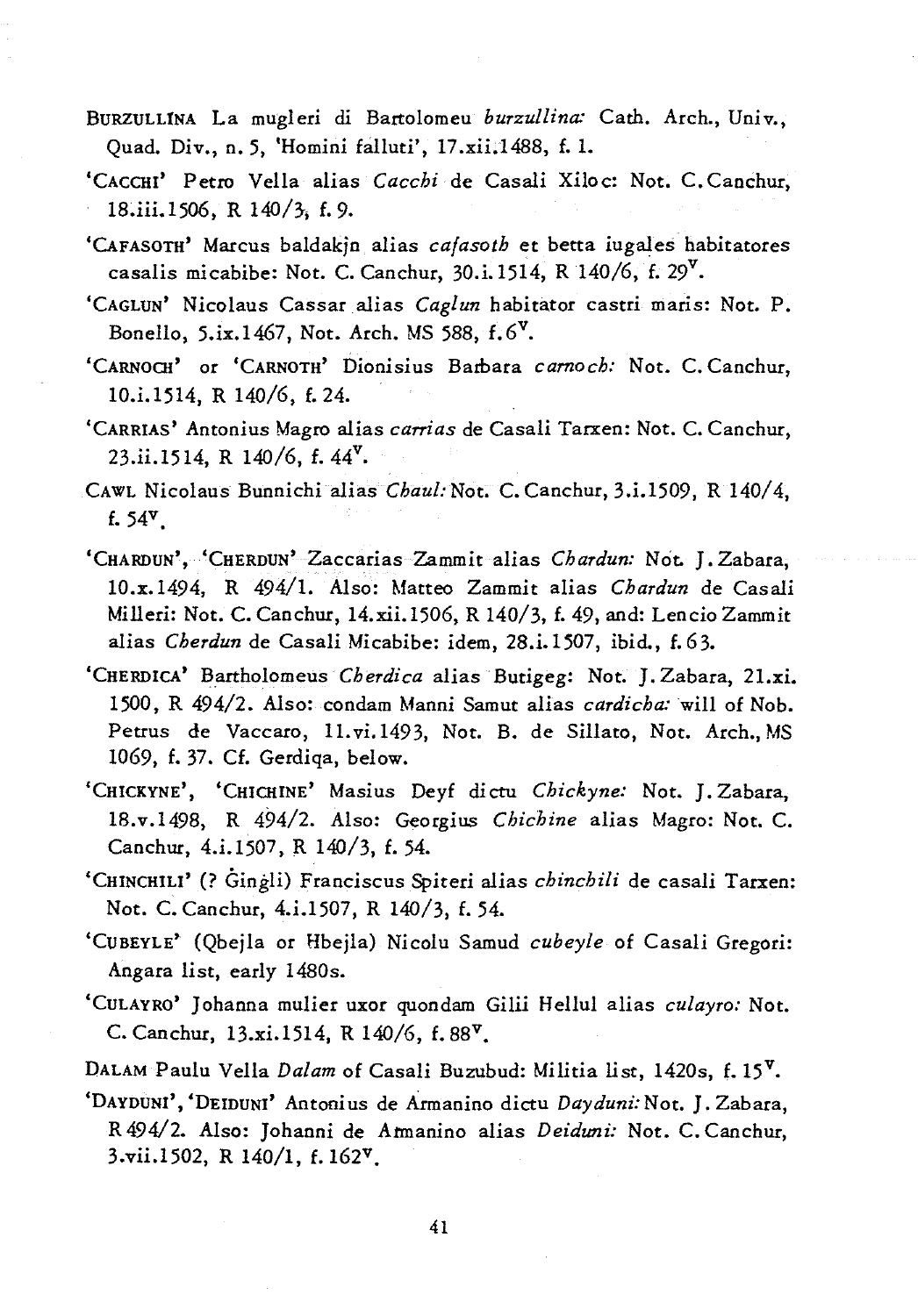- BURZULLINA La mugleri di Bartolomeu *burzullina:* Cath. Arch., Univ., Quad. Div., n. 5, *'Homini* falluti', *17.xii.1488,* f.1.
- 'CACCHI' Petro Vella alias *Cacchi* de Casali Xiloc: Not. C.Canchur, 18.iii.1506, R 140/3, f. 9.
- 'CAFASOTH' Marcus baldakjn alias *cafasoth* et betta iugales habitatores casalis micabibe: Not. C. Canchur, 30.i.1514, R 140/6, f. 29<sup>V</sup>.
- 'CAGLUN' Nicolaus Cassar alias *Caglun* habitator castri maris: Not. P. Bonello,  $5.ix.1467$ , Not. Arch. MS 588,  $f.6^V$ .
- 'CARNOCH' or 'CARNOTH' Dionisius Barbara *carnoch:* Not. C. Canchur, *10.i.1514,* R 140/6, f.24.
- 'CARRIAS' Antonius Magro alias *carrias* de Casali Tarxen: Not. C. Canchur, *23.ii.1514,* R 140/6, f. 44v.
- CAWL Nicolaus Bunnichi alias *Chaul: Not. C. Canchur, 3.i.1509, R 140/4,* f.54v.
- 'CHARDUN', 'CHERDUN' Zaccarias Zammit alias *Chardun:* Not. J. Zabara, 10.x.1494, R 494/1. Also: Matteo Zammit alias *Chardun* de Casali Milleri: Not. C. Canchur, 14.xii.1506, R 140/3, f. 49, and: Lencio Zammit alias *Cherdun* de Casali Micabibe: *idem, 28.i.1507,* ibid., f.63.
- 'CHERDICA' Bartholomeus *Cherdica* alias Butigeg: Not. J. Zabara, 21.xi. 1500, R 494/2. Also: condam Manni Samut alias *cardicha:* will of Nob. Petrus de Vaccaro, 11. vi. 1493, Not. B. de Sillato, Not. Arch., MS 1069, f.37. Cf. Gerdiqa, below.
- 'CHICKYNE', 'CHICHINE' Masius Deyf dicru *Chickyne:* Not. J. Zabara, 18.v.1498, R 494/2. Also: Georgius *Chichine* alias Magro: Not. e. Canchur, 4.1.1507, R 140/3, f. 54.
- 'CHINCHILI' (? *Gingli)* Franciscus Spiteri alias *chinchili* de casali Tarxen: Not. C. Canchur, 4.i.1507, R 140/3, f. 54.
- 'CUBEYLE' (Qbejla or Hbejla) Nicolu Samud *cubeyle* of Casali Gregori: Angara list, early 1480s.
- 'CULAYRO' J ohanna mulier uxor quondam Gilii Hellul alias *culayro:* Not. C. Canchur, 13.xi.1514, R 140/6, f.  $88^{\nu}$ .
- DALAM Paulu Vella *Dalam* of Casali Buzubud: *Militia* list, 1420s, f. 15v•
- 'DAYDUNI' ,'DEIDUNI' Antoni us de Armanino *dictu Dayduni:* Not. J. Zabara, R 494/2. Also: Johanni de Atmanino alias *Deiduni:* Not. C. Canchur, *3.vii.1502,* R 140/1, f.162v•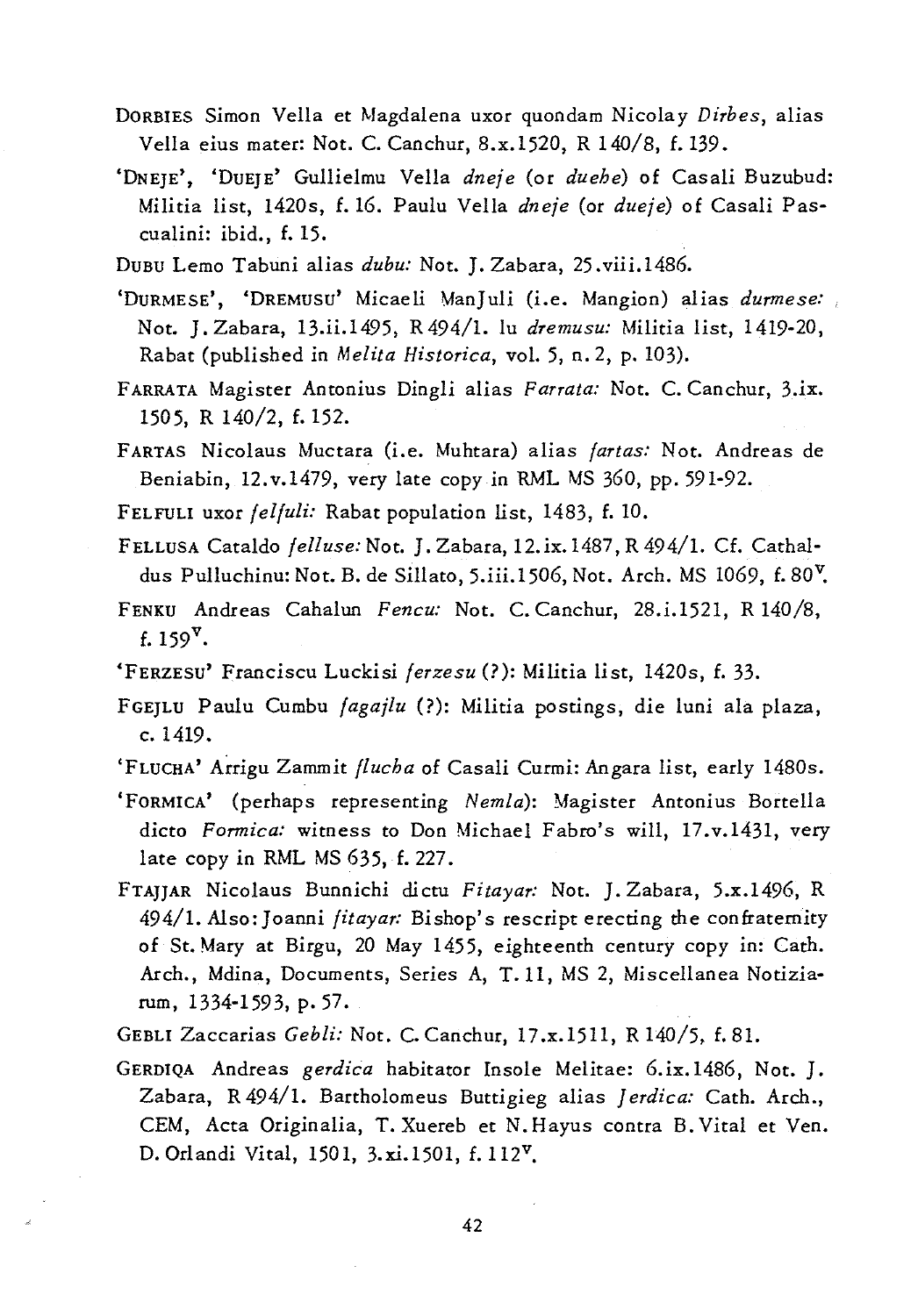- DORBIES Simon Vella et Magdalena uxor quondam Nicola y *Dirbes,* alias Vella eius mater: Not. C. Canchur, 8.x.1520, R 140/8, f.139.
- 'DNEJE', 'DUEJE' Gullielmu Vella *dneje* (or *duehe)* of Casali Buzubud: Militia list, 1420s, f. 16. Paulu Vella *dneje* (or *dueje)* of Casali Pascualini: ibid., f. 15.
- DUBU Lemo Tabuni alias *dubu:* Not. J. Zabara, 25. viii. 1486.
- 'DURMESE', 'DREMUSU' Micaeli ManJuli (Le. Mangion) alias *durmese:*  Not. J. Zabara, 13.ii.I495, R494/1. lu *dremusu:* Militia list, 1419-20, Rabat (published in *Melita Historica,* vol. 5, n. 2, p. 103).
- FARRATA Magister Antonius Dingli alias *FaTTata:* Not. C. Canchur, *3.ix.*  1505, R 140/2, f.152.
- FARTAS Nicolaus Muctara (i.e. Muhtara) alias *fartas:* Not. Andreas de Beniabin, 12.v.1479, very late copy in RML MS 360, pp. 591-92.
- FELFULI uxor *felfuli:* Rabat population list, 1483, f. 10.
- FELLUSA Cataldo *fell use:* Not. J. Zabara, 12. *ix.1487,* R 494/1. Cf. Catha! dus Pulluchinu: Not. B. de Sillato, 5.iii.1506, Not. Arch. MS 1069, f. 80<sup>V</sup>.
- FENKU Andreas Cahalun *Fencu:* Not. C. Canchur, 28.i.1521, R 140/8, f. 159 $^{v}$ .
- 'FERZESU' Franciscu Luckisi *ferzesu* (?): Militia li st, 1420s, f. 33.
- FGEJLU Paulu Cumbu *fagajlu* (?): Militia postings, die luni ala plaza, c. 1419.
- 'FLUCHA' Arrigu Zammit *flucha* of Casali Curmi: Angara list, early 1480s.
- 'FORMICA' (perhaps representing *Nemla):* Magister Antonius Bortella dicto *Formica*: witness to Don Michael Fabro's will, 17.v.1431, very late copy in RML MS 635, f. 227.
- FTAJJAR Nicolaus Bunnichi dicm *Fitayar:* Not. J. Zabara, 5.x.1496, R 494/1. Also: Joanni *fitayar:* Bishop's rescript erecting the confratemity of St. Mary at Birgu, 20 May 1455, eighteenth century copy in: Cath. Arch., Mdina, Documents, Series A, T.ll, MS 2, Miscellanea Notiziarum, 1334-1593, p. 57.
- GEBLI Zaccarias *Gebli:* Not. C. Canchur, 17.x.15H, R 140/5, f.81.
- GERDIQA Andreas *gerdica* habitator Insole Melitae: 6.ix.1486, Not. J. Zabara, R 494/1. Bartholomeus Buttigieg alias Jerdica: Cath. Arch., CEM, Acta Originalia, T. Xuereb et N.Hayus contra B. Vital et Yen. D. Orlandi Vital, 1501, 3.xi.1501, f.1l2v.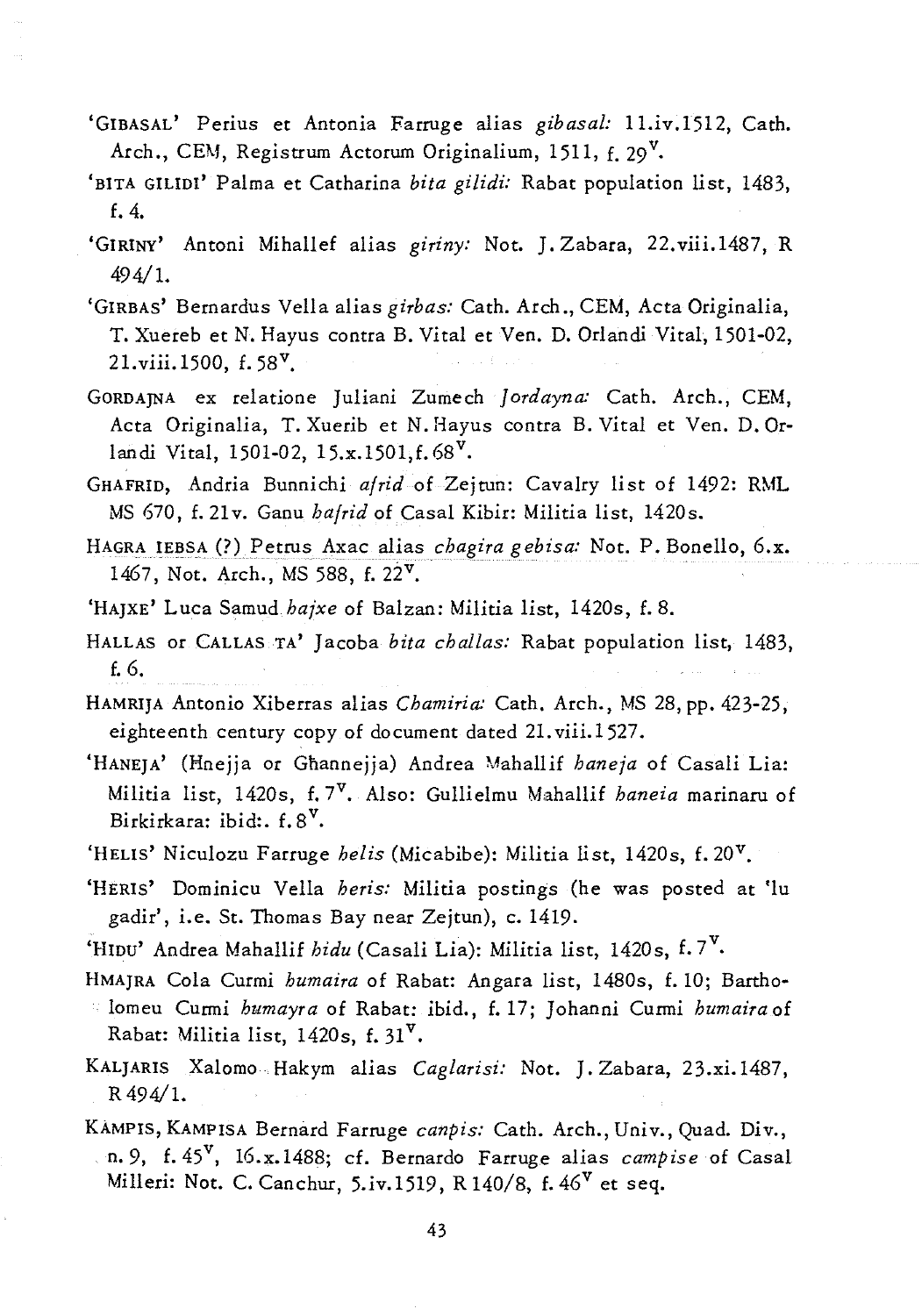- 'GIBASAL' Perius et Antonia Farruge alias *gibasal:* l1.iv.1512, Cath. Arch., CEM, Registrum Actorum Originalium, 1511,  $f. 29^V$ .
- 'BITA GlLIDI' Palma et Catharina *bila gilidi:* Rabat population list, 1483, f.4.
- 'GIRINY' Antoni Mihallef alias giriny: Not. J. Zabara, 22.viii.1487, R 494/1.
- 'GIRBAS' Bernardus Vella alias *girbas:* Cath. Arch., CEM, Acta Originalia, T. Xuereb et N. Hayus contra B. Vital et Ven. D. Orlandi Vital, 1501-02, 21.viii.1500, f.58 v.
- GORDAJNA ex relatione Juliani Zumech *Jordayna:* Cath. Arch., CEM, Acta Originalia, T. Xuerib et N. Hayus contra B. Vital et Ven. D.Orlandi Vital, 1501-02, 15.x.1501,f.68<sup>v</sup>.
- GHAFRID, Andria Bunnichi *a/rid* of Zejtun: Cavalry list of 1492: RML MS 670, f. 21v. Ganu *ha/rid* of Casal Kibir: Militia list, 1420s.
- HAGRA IEBSA (?) Petrus Axac alias *chagira g ebisa:* Not. P. Bonello, 6.x. 1467, Not. Arch., MS 588, f.22v.
- 'HAJXE' Luca Samud *hajxe* of Balzan: Militia list, 1420s, f.8.
- HALLAS or CALLAS TA' Jacoba *bita challas:* Rabat population list, 1483, f.6.
- HAMRIJA Antonio Xiberras alias *Chamiria:* Cath. Arch., MS 28, pp. 423-25, eighteenth century copy of document dated 21. viii.1527.
- 'HANEJA' (Hnejja or Gnannejja) Andrea Mahallif *haneja* of Casali Lia: Militia list, 1420s, f.7v. Also: Gullielmu Mahallif *haneia* marinaru of Birkirkara: ibid: f. 8<sup>V</sup>.
- 'HELIS' Niculozu Farruge *helis* (Micabibe): Militia list, 1420s, f. 20v.
- 'HERIS' Dominicu Vella *heris:* Militia postings (he was posted at 'lu gadir', *i.e.* St. Thomas Bay near Zejtun), c. 1419.
- 'HIDU' Andrea Mahallif *hidu* (Casali Lia): Militia list, 1420s, f. 7v.
- HMAJRA Cola Curmi *humaira* of Rabat: Angara list, 1480s, f. 10; Bartholomeu Curmi *humayra* of Rabat: ibid., f. 17; J ohanni Curmi *humaira* of Rabat: *Militia* list, 1420s, f.31v.
- KALJARIS Xalomo Hakym alias *Caglarisi:* Not. J. Zabara, *23.xi.1487,*  R494/1.
- KAMPIS, KAMPISA Bernard Farruge *canpis:* Cath. Arch., Univ., Quad. Div., n. 9, f. 45<sup>v</sup>, 16.x.1488; cf. Bernardo Farruge alias *campise* of Casal Milleri: Not. C. Canchur, 5.iv.1519, R 140/8, f.  $46^V$  et seq.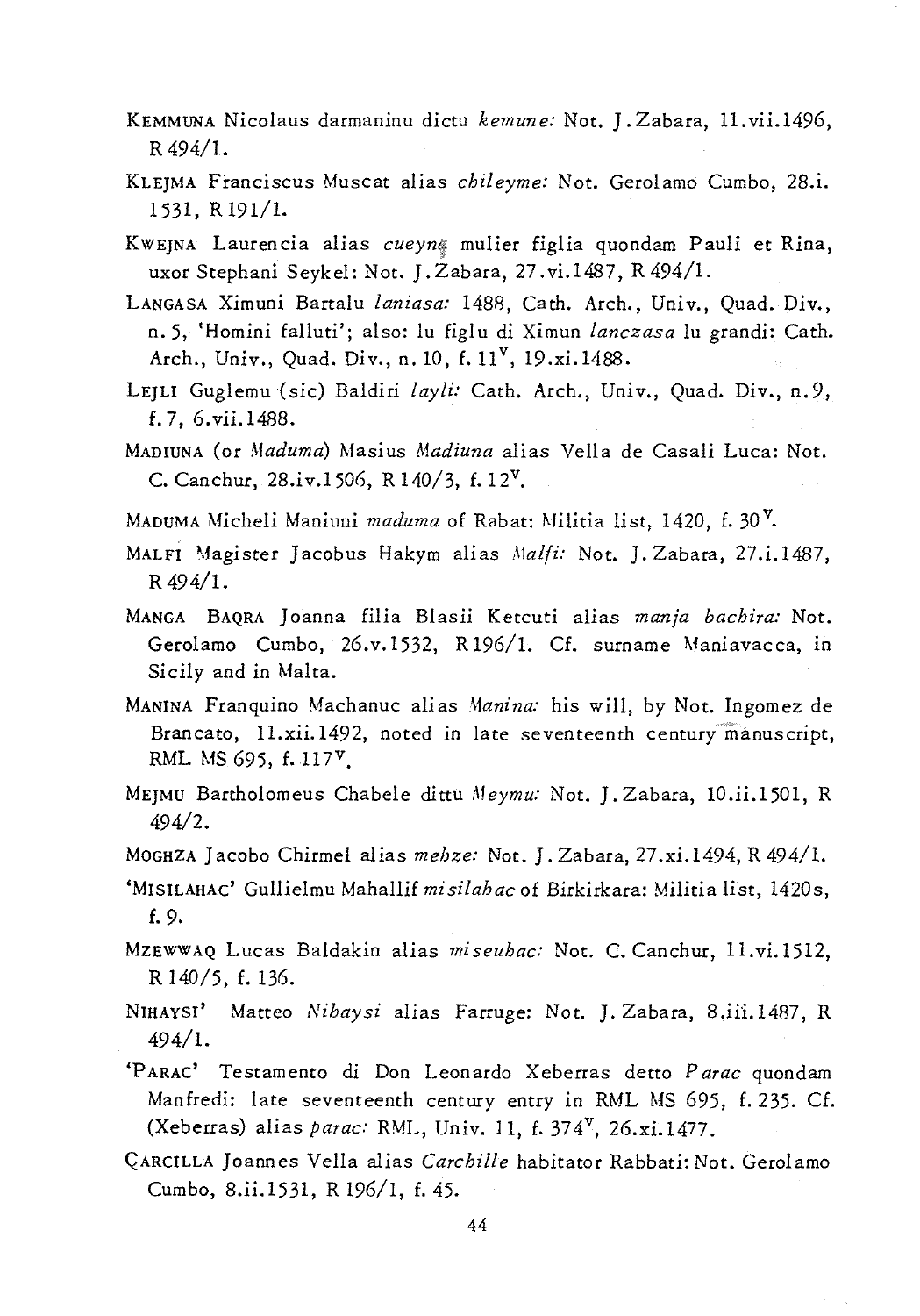- KEMMUNA Nicolaus darmaninu *dictu kemune:* Not. J. Zabara, *11.vii.1496,*  R494/1.
- KLEJMA Franciscus Muscat alias *ehileyme:* Not. Gerolamo Cumbo, 28.i. 1531, R191/1.
- KWEJNA Laurencia alias *eueynf* mulier figlia quondam Pauli et Rina, uxor Stephani Seykel: Not. J.Zabara, 27.vi.1487, R494/1.
- LANGASA *Ximuni* Bartalu *laniasa:* 1488, Cath. Arch., Univ., Quad. Div., n.5, 'Homini falluti'; also: lu figlu di Ximun *lanezasa* lu grandi: Cath. Arch., Univ., Quad. Div., n. 10, f. 11<sup>v</sup>, 19.xi. 1488.
- LEJLl Guglemu *(sic)* Baldiri *layli:* Cath. Arch., Univ., Quad. *Div.,* n.9, f. 7, 6. *vii.* 1488.
- MADIUNA (or *Maduma)* Masius *Madiuna* alias Vella de Casali Luca: Not. C. Canchur,  $28.iv.1506$ , R  $140/3$ , f.  $12<sup>V</sup>$ .
- MADUMA Micheli Maniuni *maduma* of Rabat: Militia *list,* 1420, f. 30 v.
- MALFI Magister Jacobus Hakym alias *Malfi: Not. J. Zabara, 27.i.1487,* R 494/1.
- MANGA BAQRA J oanna *filia Blasii* Ketcuti alias *manja baehira:* Not. Gerolamo Cumbo, 26.v.1532, R 196/1. Cf. surname Maniavacca, *in Sicily* and in Malta.
- MANINA Franquino Machanuc alias *Afanina: his* will, by Not. Ingomez de Brancato, *11.xii.1492,* noted in late seventeenth century"manuscript, RML MS 695, f.  $117^{\nu}$ .
- MEJMU Bartholomeus Chabele dittu *Meymu:* Not. J. Zabara, *10.ii.1501,* R *49412.*
- MOGHZA Jacobo Chirmel alias *mehze*: Not. J. Zabara, 27.xi.1494, R 494/1.
- 'MISILAHAC' Gullielmu Mahallif *misilahae* of Birkirkara: *Militia* list, 1420s, f.9.
- MzEWWAQ Lucas Baldakin alias *miseuhac:* Not. C. Canchur, 11.vi.1512, R 140/5, f. 136.
- NIHAYSI' Matteo *Nihaysi* alias Farruge: Not. J. Zabara, *8.ii:i.1487,* R 494/1.
- 'P ARAC' Testamento di Don Leonardo Xeberras detto *Parae* quondam Manfredi: late seventeenth century entry in RML MS 695, f. 235. Cf. (Xeberras) alias *parae:* RML, Univ. 11, f. 374v, *26.xi.1477.*
- QARCILLA Joannes Vella alias *Carehille* habitator Rabbati: Not. Gerolamo Cumbo, *8.ii.1531,* R 196/1, f.45.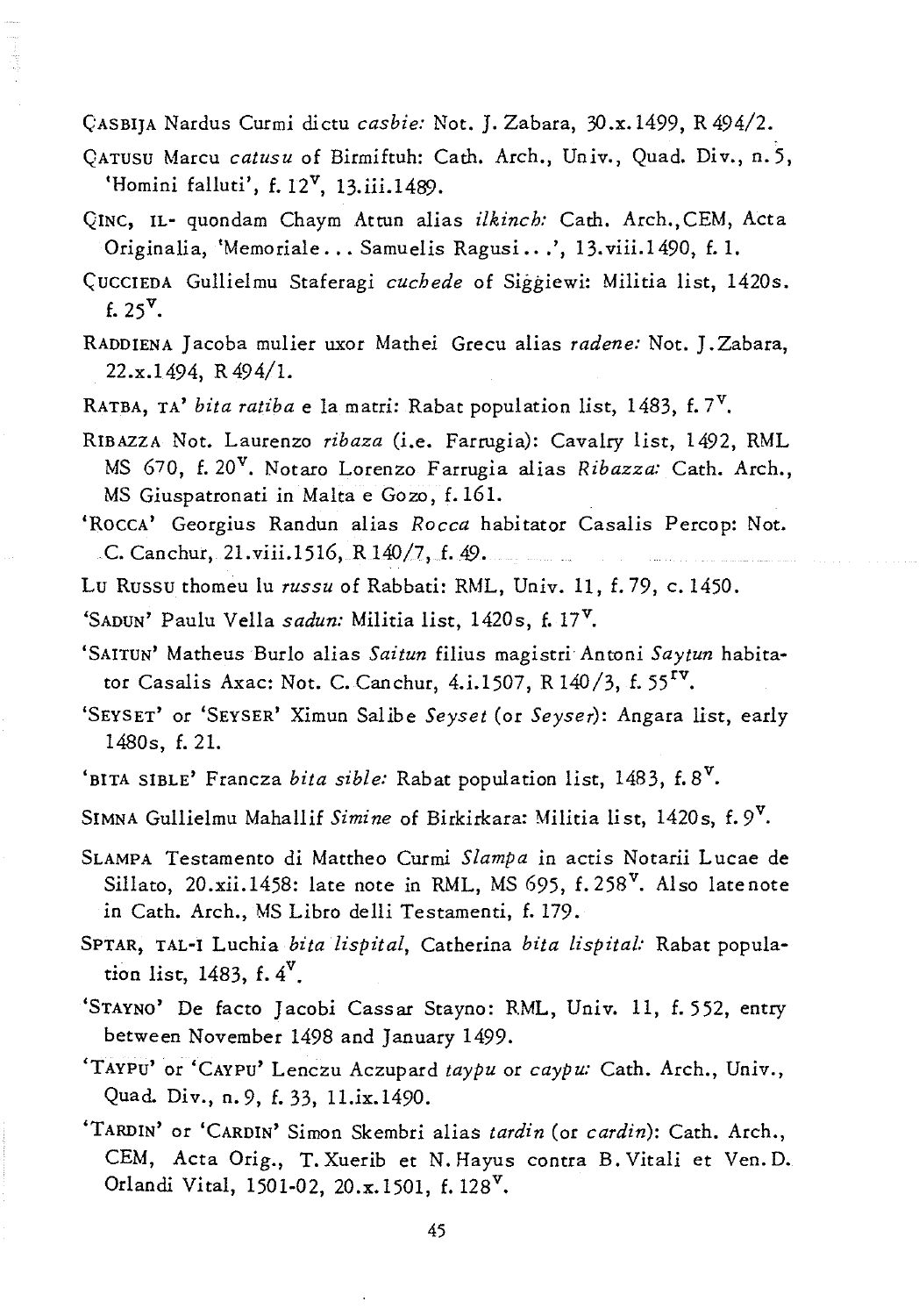CASBIJA Nardus Curmi dictu *casbie:* Not. J. Zabara, 3O.x.1499, R494/2.

- QATUSU Marcu *catusu* of Birmiftuh: Cath. Arch., Univ., Quad. Div., n. 5, 'Homini falluti',  $f. 12^V$ , 13.iii.1489.
- QINC, IL- quondam Chaym Attun alias *ilk inch:* Cath. Arch.,CEM, Acta Originalia, 'Memoriale ... Samuelis Ragusi •.. ', 13.viii.1490, f.1.
- CUCCIEDA Gullielmu Staferagi *cuchede* of Siggiewi: Militia list, 1420s. f.  $25^{\nu}$ .
- RADDIENA Jacoba mulier uxor Mamei Grecu alias *radene:* Not. J . Zabara, 22.x.1494, R494/1.
- RATBA, TA' *bita ratiba* e la matri: Rabat population list, 1483, f.7v.
- RIBAZZA Not. Laurenzo *ribaza (i.e.* Farrugia): Cavalry list, 1492, RML MS 670, f. 20v. Notaro Lorenzo Farrugia alias *Ribazza:* Cath. Arch., MS Giuspatronati in Malta e Goze, f.161.
- 'ROCCA' Georgius Randun alias *Rocca* habitator Casalis Percop: Not. e. Canchur, 21.viii.1516, R 140/7, f.49.
- Lu Russu thomeu lu *russu* of Rabbati: RML, Univ. 11, f.79, c. 1450.

'SADUN' Paulu Vella *sadun:* Militia list, 1420s, f.17v.

- 'SAITUN' Matheus BurIo alias *Saitun* filius magistri Antoni *Say tun* habitator Casalis Axac: Not. C. Canchur, 4.i.1507, R 140/3, f. 55<sup>rv</sup>.
- 'SEYSET' or 'SEYSER' Ximun Salibe *Seyset* (or *Seyser):* Angara *list,* early 1480s, f. 2l.
- 'BITA SIBLE' Francza *bita sible:* Rabat population list, 1483, f.8<sup>v</sup>.
- SIMNA Gullielmu Mahallif *Simine* of Birkirkara: Militia list, 1420s, f.9v.
- SLAMPA Testamento di Mattheo Curmi *Slampa* in actis Notarii Lucae de Sillato, 20.xii.1458: late note in RML, MS 695,  $f. 258^V$ . Also late note in Cath. Arch., MS Libro delli Testamenti, f.179.
- SPTAR, TAL-! Luchia *bita lispital,* Catherina *bila lispital:* Rabat population list, 1483,  $f.4^V$ .
- 'STAYNO' De facto Jacobi Cassar Stayno: RML, Univ. 11, f. 552, entry between November 1498 and January 1499.
- 'TAYPU' or 'CAYPU' Lenczu Aczupard *taypu* or *caypu:* Cath. Arch., Univ., Quad. Div., n.9, f.33, 1l.ix.1490.
- 'TARDIN' or 'CARDIN' Simon Skembri alias *tardin* (or *cardin):* Cath. Arch., CEM, Acta Orig., T. Xuerib et N. Hayus contra B. Vitali et Yen. D. Orlandi Vital, 1501-02, 20.x.1501, f. 128<sup>v</sup>.